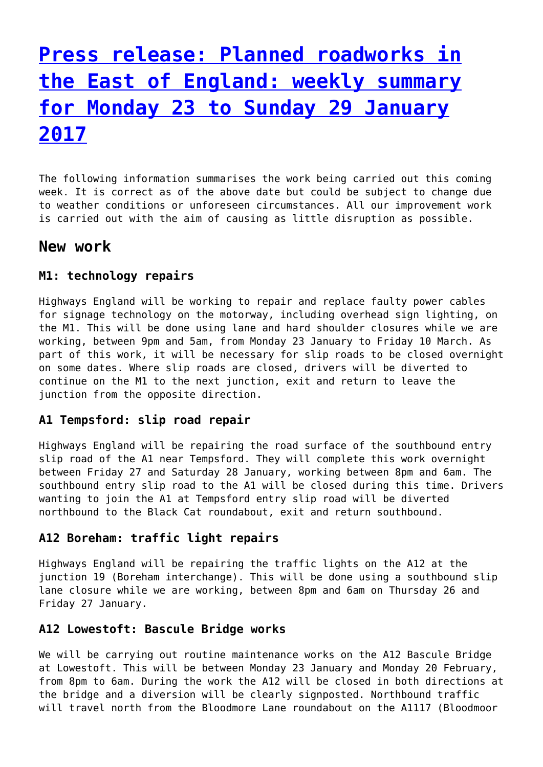# **[Press release: Planned roadworks in](http://www.government-world.com/press-release-planned-roadworks-in-the-east-of-england-weekly-summary-for-monday-23-to-sunday-29-january-2017/) [the East of England: weekly summary](http://www.government-world.com/press-release-planned-roadworks-in-the-east-of-england-weekly-summary-for-monday-23-to-sunday-29-january-2017/) [for Monday 23 to Sunday 29 January](http://www.government-world.com/press-release-planned-roadworks-in-the-east-of-england-weekly-summary-for-monday-23-to-sunday-29-january-2017/) [2017](http://www.government-world.com/press-release-planned-roadworks-in-the-east-of-england-weekly-summary-for-monday-23-to-sunday-29-january-2017/)**

The following information summarises the work being carried out this coming week. It is correct as of the above date but could be subject to change due to weather conditions or unforeseen circumstances. All our improvement work is carried out with the aim of causing as little disruption as possible.

# **New work**

# **M1: technology repairs**

Highways England will be working to repair and replace faulty power cables for signage technology on the motorway, including overhead sign lighting, on the M1. This will be done using lane and hard shoulder closures while we are working, between 9pm and 5am, from Monday 23 January to Friday 10 March. As part of this work, it will be necessary for slip roads to be closed overnight on some dates. Where slip roads are closed, drivers will be diverted to continue on the M1 to the next junction, exit and return to leave the junction from the opposite direction.

### **A1 Tempsford: slip road repair**

Highways England will be repairing the road surface of the southbound entry slip road of the A1 near Tempsford. They will complete this work overnight between Friday 27 and Saturday 28 January, working between 8pm and 6am. The southbound entry slip road to the A1 will be closed during this time. Drivers wanting to join the A1 at Tempsford entry slip road will be diverted northbound to the Black Cat roundabout, exit and return southbound.

### **A12 Boreham: traffic light repairs**

Highways England will be repairing the traffic lights on the A12 at the junction 19 (Boreham interchange). This will be done using a southbound slip lane closure while we are working, between 8pm and 6am on Thursday 26 and Friday 27 January.

## **A12 Lowestoft: Bascule Bridge works**

We will be carrying out routine maintenance works on the A12 Bascule Bridge at Lowestoft. This will be between Monday 23 January and Monday 20 February, from 8pm to 6am. During the work the A12 will be closed in both directions at the bridge and a diversion will be clearly signposted. Northbound traffic will travel north from the Bloodmore Lane roundabout on the A1117 (Bloodmoor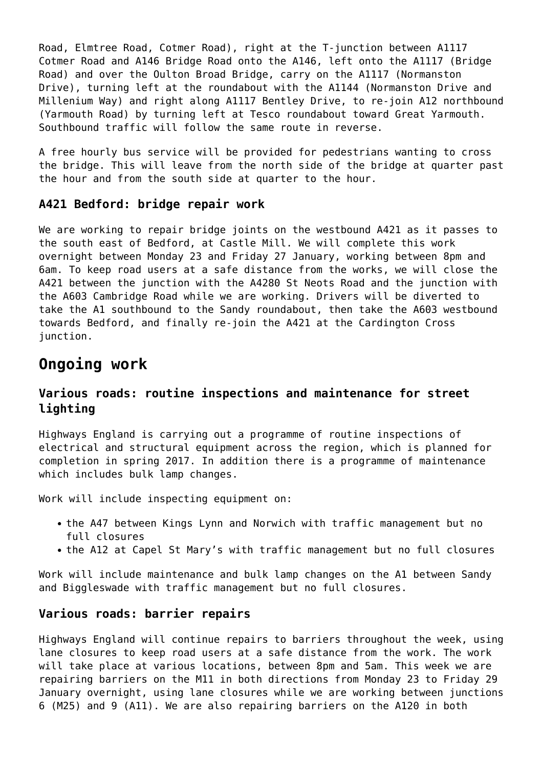Road, Elmtree Road, Cotmer Road), right at the T-junction between A1117 Cotmer Road and A146 Bridge Road onto the A146, left onto the A1117 (Bridge Road) and over the Oulton Broad Bridge, carry on the A1117 (Normanston Drive), turning left at the roundabout with the A1144 (Normanston Drive and Millenium Way) and right along A1117 Bentley Drive, to re-join A12 northbound (Yarmouth Road) by turning left at Tesco roundabout toward Great Yarmouth. Southbound traffic will follow the same route in reverse.

A free hourly bus service will be provided for pedestrians wanting to cross the bridge. This will leave from the north side of the bridge at quarter past the hour and from the south side at quarter to the hour.

### **A421 Bedford: bridge repair work**

We are working to repair bridge joints on the westbound A421 as it passes to the south east of Bedford, at Castle Mill. We will complete this work overnight between Monday 23 and Friday 27 January, working between 8pm and 6am. To keep road users at a safe distance from the works, we will close the A421 between the junction with the A4280 St Neots Road and the junction with the A603 Cambridge Road while we are working. Drivers will be diverted to take the A1 southbound to the Sandy roundabout, then take the A603 westbound towards Bedford, and finally re-join the A421 at the Cardington Cross junction.

# **Ongoing work**

# **Various roads: routine inspections and maintenance for street lighting**

Highways England is carrying out a programme of routine inspections of electrical and structural equipment across the region, which is planned for completion in spring 2017. In addition there is a programme of maintenance which includes bulk lamp changes.

Work will include inspecting equipment on:

- the A47 between Kings Lynn and Norwich with traffic management but no full closures
- the A12 at Capel St Mary's with traffic management but no full closures

Work will include maintenance and bulk lamp changes on the A1 between Sandy and Biggleswade with traffic management but no full closures.

#### **Various roads: barrier repairs**

Highways England will continue repairs to barriers throughout the week, using lane closures to keep road users at a safe distance from the work. The work will take place at various locations, between 8pm and 5am. This week we are repairing barriers on the M11 in both directions from Monday 23 to Friday 29 January overnight, using lane closures while we are working between junctions 6 (M25) and 9 (A11). We are also repairing barriers on the A120 in both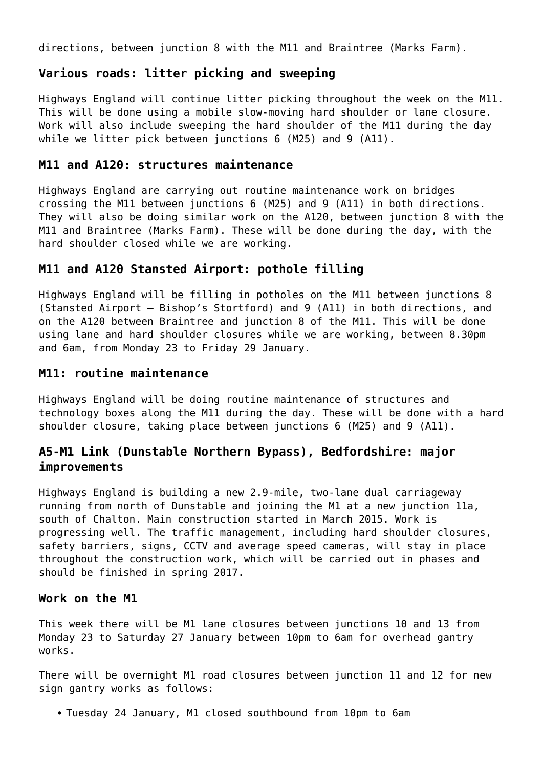directions, between junction 8 with the M11 and Braintree (Marks Farm).

## **Various roads: litter picking and sweeping**

Highways England will continue litter picking throughout the week on the M11. This will be done using a mobile slow-moving hard shoulder or lane closure. Work will also include sweeping the hard shoulder of the M11 during the day while we litter pick between junctions 6 (M25) and 9 (A11).

#### **M11 and A120: structures maintenance**

Highways England are carrying out routine maintenance work on bridges crossing the M11 between junctions 6 (M25) and 9 (A11) in both directions. They will also be doing similar work on the A120, between junction 8 with the M11 and Braintree (Marks Farm). These will be done during the day, with the hard shoulder closed while we are working.

# **M11 and A120 Stansted Airport: pothole filling**

Highways England will be filling in potholes on the M11 between junctions 8 (Stansted Airport – Bishop's Stortford) and 9 (A11) in both directions, and on the A120 between Braintree and junction 8 of the M11. This will be done using lane and hard shoulder closures while we are working, between 8.30pm and 6am, from Monday 23 to Friday 29 January.

#### **M11: routine maintenance**

Highways England will be doing routine maintenance of structures and technology boxes along the M11 during the day. These will be done with a hard shoulder closure, taking place between junctions 6 (M25) and 9 (A11).

# **A5-M1 Link (Dunstable Northern Bypass), Bedfordshire: major improvements**

Highways England is building a new 2.9-mile, two-lane dual carriageway running from north of Dunstable and joining the M1 at a new junction 11a, south of Chalton. Main construction started in March 2015. Work is progressing well. The traffic management, including hard shoulder closures, safety barriers, signs, CCTV and average speed cameras, will stay in place throughout the construction work, which will be carried out in phases and should be finished in spring 2017.

#### **Work on the M1**

This week there will be M1 lane closures between junctions 10 and 13 from Monday 23 to Saturday 27 January between 10pm to 6am for overhead gantry works.

There will be overnight M1 road closures between junction 11 and 12 for new sign gantry works as follows:

• Tuesday 24 January, M1 closed southbound from 10pm to 6am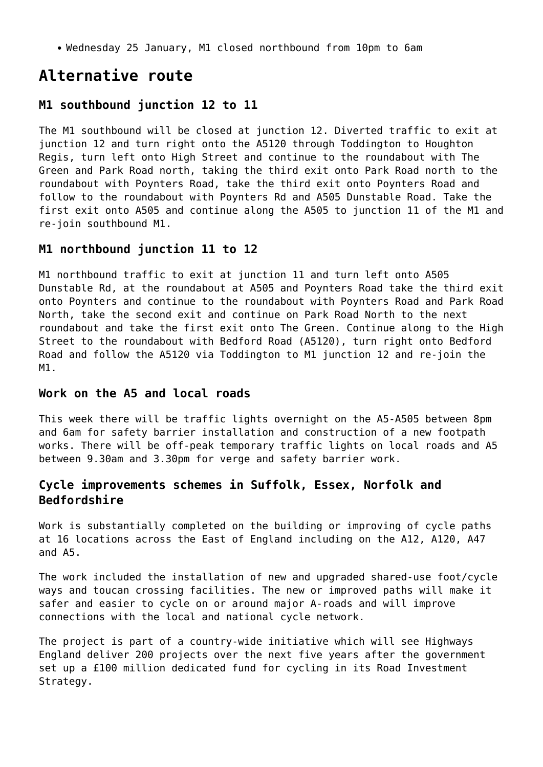Wednesday 25 January, M1 closed northbound from 10pm to 6am

# **Alternative route**

#### **M1 southbound junction 12 to 11**

The M1 southbound will be closed at junction 12. Diverted traffic to exit at junction 12 and turn right onto the A5120 through Toddington to Houghton Regis, turn left onto High Street and continue to the roundabout with The Green and Park Road north, taking the third exit onto Park Road north to the roundabout with Poynters Road, take the third exit onto Poynters Road and follow to the roundabout with Poynters Rd and A505 Dunstable Road. Take the first exit onto A505 and continue along the A505 to junction 11 of the M1 and re-join southbound M1.

#### **M1 northbound junction 11 to 12**

M1 northbound traffic to exit at junction 11 and turn left onto A505 Dunstable Rd, at the roundabout at A505 and Poynters Road take the third exit onto Poynters and continue to the roundabout with Poynters Road and Park Road North, take the second exit and continue on Park Road North to the next roundabout and take the first exit onto The Green. Continue along to the High Street to the roundabout with Bedford Road (A5120), turn right onto Bedford Road and follow the A5120 via Toddington to M1 junction 12 and re-join the M1.

#### **Work on the A5 and local roads**

This week there will be traffic lights overnight on the A5-A505 between 8pm and 6am for safety barrier installation and construction of a new footpath works. There will be off-peak temporary traffic lights on local roads and A5 between 9.30am and 3.30pm for verge and safety barrier work.

## **Cycle improvements schemes in Suffolk, Essex, Norfolk and Bedfordshire**

Work is substantially completed on the building or improving of cycle paths at 16 locations across the East of England including on the A12, A120, A47 and A5.

The work included the installation of new and upgraded shared-use foot/cycle ways and toucan crossing facilities. The new or improved paths will make it safer and easier to cycle on or around major A-roads and will improve connections with the local and national cycle network.

The project is part of a country-wide initiative which will see Highways England deliver 200 projects over the next five years after the government set up a £100 million dedicated fund for cycling in its Road Investment Strategy.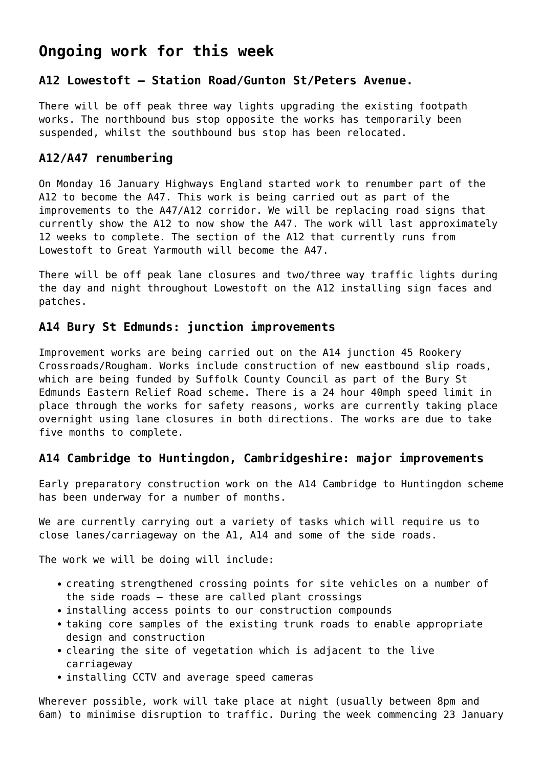# **Ongoing work for this week**

# **A12 Lowestoft – Station Road/Gunton St/Peters Avenue.**

There will be off peak three way lights upgrading the existing footpath works. The northbound bus stop opposite the works has temporarily been suspended, whilst the southbound bus stop has been relocated.

# **A12/A47 renumbering**

On Monday 16 January Highways England started work to renumber part of the A12 to become the A47. This work is being carried out as part of the improvements to the A47/A12 corridor. We will be replacing road signs that currently show the A12 to now show the A47. The work will last approximately 12 weeks to complete. The section of the A12 that currently runs from Lowestoft to Great Yarmouth will become the A47.

There will be off peak lane closures and two/three way traffic lights during the day and night throughout Lowestoft on the A12 installing sign faces and patches.

# **A14 Bury St Edmunds: junction improvements**

Improvement works are being carried out on the A14 junction 45 Rookery Crossroads/Rougham. Works include construction of new eastbound slip roads, which are being funded by Suffolk County Council as part of the Bury St Edmunds Eastern Relief Road scheme. There is a 24 hour 40mph speed limit in place through the works for safety reasons, works are currently taking place overnight using lane closures in both directions. The works are due to take five months to complete.

# **A14 Cambridge to Huntingdon, Cambridgeshire: major improvements**

Early preparatory construction work on the A14 Cambridge to Huntingdon scheme has been underway for a number of months.

We are currently carrying out a variety of tasks which will require us to close lanes/carriageway on the A1, A14 and some of the side roads.

The work we will be doing will include:

- creating strengthened crossing points for site vehicles on a number of the side roads – these are called plant crossings
- installing access points to our construction compounds
- taking core samples of the existing trunk roads to enable appropriate design and construction
- clearing the site of vegetation which is adjacent to the live carriageway
- installing CCTV and average speed cameras

Wherever possible, work will take place at night (usually between 8pm and 6am) to minimise disruption to traffic. During the week commencing 23 January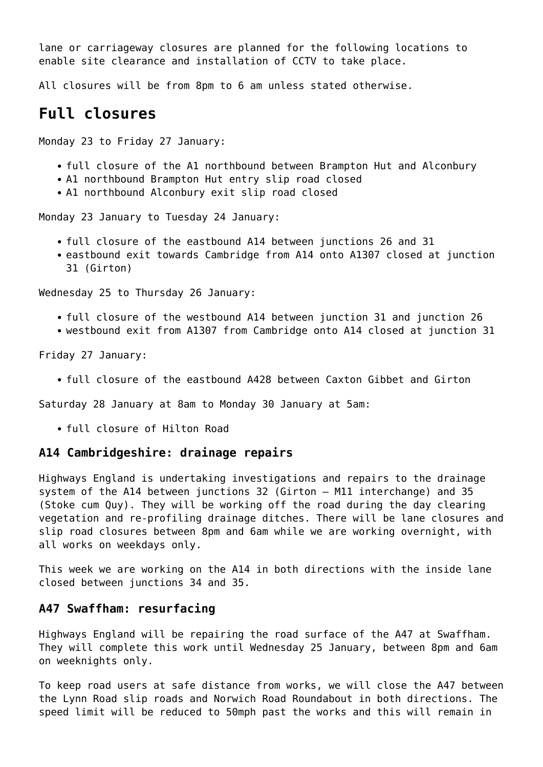lane or carriageway closures are planned for the following locations to enable site clearance and installation of CCTV to take place.

All closures will be from 8pm to 6 am unless stated otherwise.

# **Full closures**

Monday 23 to Friday 27 January:

- full closure of the A1 northbound between Brampton Hut and Alconbury
- A1 northbound Brampton Hut entry slip road closed
- A1 northbound Alconbury exit slip road closed

Monday 23 January to Tuesday 24 January:

- full closure of the eastbound A14 between junctions 26 and 31
- eastbound exit towards Cambridge from A14 onto A1307 closed at junction 31 (Girton)

Wednesday 25 to Thursday 26 January:

- full closure of the westbound A14 between junction 31 and junction 26
- westbound exit from A1307 from Cambridge onto A14 closed at junction 31

Friday 27 January:

full closure of the eastbound A428 between Caxton Gibbet and Girton

Saturday 28 January at 8am to Monday 30 January at 5am:

full closure of Hilton Road

#### **A14 Cambridgeshire: drainage repairs**

Highways England is undertaking investigations and repairs to the drainage system of the A14 between junctions 32 (Girton – M11 interchange) and 35 (Stoke cum Quy). They will be working off the road during the day clearing vegetation and re-profiling drainage ditches. There will be lane closures and slip road closures between 8pm and 6am while we are working overnight, with all works on weekdays only.

This week we are working on the A14 in both directions with the inside lane closed between junctions 34 and 35.

#### **A47 Swaffham: resurfacing**

Highways England will be repairing the road surface of the A47 at Swaffham. They will complete this work until Wednesday 25 January, between 8pm and 6am on weeknights only.

To keep road users at safe distance from works, we will close the A47 between the Lynn Road slip roads and Norwich Road Roundabout in both directions. The speed limit will be reduced to 50mph past the works and this will remain in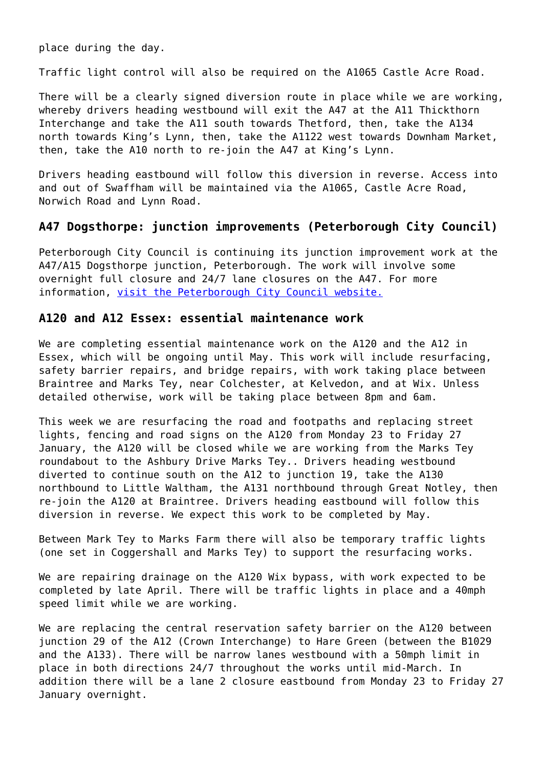place during the day.

Traffic light control will also be required on the A1065 Castle Acre Road.

There will be a clearly signed diversion route in place while we are working, whereby drivers heading westbound will exit the A47 at the A11 Thickthorn Interchange and take the A11 south towards Thetford, then, take the A134 north towards King's Lynn, then, take the A1122 west towards Downham Market, then, take the A10 north to re-join the A47 at King's Lynn.

Drivers heading eastbound will follow this diversion in reverse. Access into and out of Swaffham will be maintained via the A1065, Castle Acre Road, Norwich Road and Lynn Road.

#### **A47 Dogsthorpe: junction improvements (Peterborough City Council)**

Peterborough City Council is continuing its junction improvement work at the A47/A15 Dogsthorpe junction, Peterborough. The work will involve some overnight full closure and 24/7 lane closures on the A47. For more information, [visit the Peterborough City Council website.](https://www.peterborough.gov.uk/news/residents/work-set-to-begin-to-reduce-congestion-at-busy-parkway-junction/)

#### **A120 and A12 Essex: essential maintenance work**

We are completing essential maintenance work on the A120 and the A12 in Essex, which will be ongoing until May. This work will include resurfacing, safety barrier repairs, and bridge repairs, with work taking place between Braintree and Marks Tey, near Colchester, at Kelvedon, and at Wix. Unless detailed otherwise, work will be taking place between 8pm and 6am.

This week we are resurfacing the road and footpaths and replacing street lights, fencing and road signs on the A120 from Monday 23 to Friday 27 January, the A120 will be closed while we are working from the Marks Tey roundabout to the Ashbury Drive Marks Tey.. Drivers heading westbound diverted to continue south on the A12 to junction 19, take the A130 northbound to Little Waltham, the A131 northbound through Great Notley, then re-join the A120 at Braintree. Drivers heading eastbound will follow this diversion in reverse. We expect this work to be completed by May.

Between Mark Tey to Marks Farm there will also be temporary traffic lights (one set in Coggershall and Marks Tey) to support the resurfacing works.

We are repairing drainage on the A120 Wix bypass, with work expected to be completed by late April. There will be traffic lights in place and a 40mph speed limit while we are working.

We are replacing the central reservation safety barrier on the A120 between junction 29 of the A12 (Crown Interchange) to Hare Green (between the B1029 and the A133). There will be narrow lanes westbound with a 50mph limit in place in both directions 24/7 throughout the works until mid-March. In addition there will be a lane 2 closure eastbound from Monday 23 to Friday 27 January overnight.